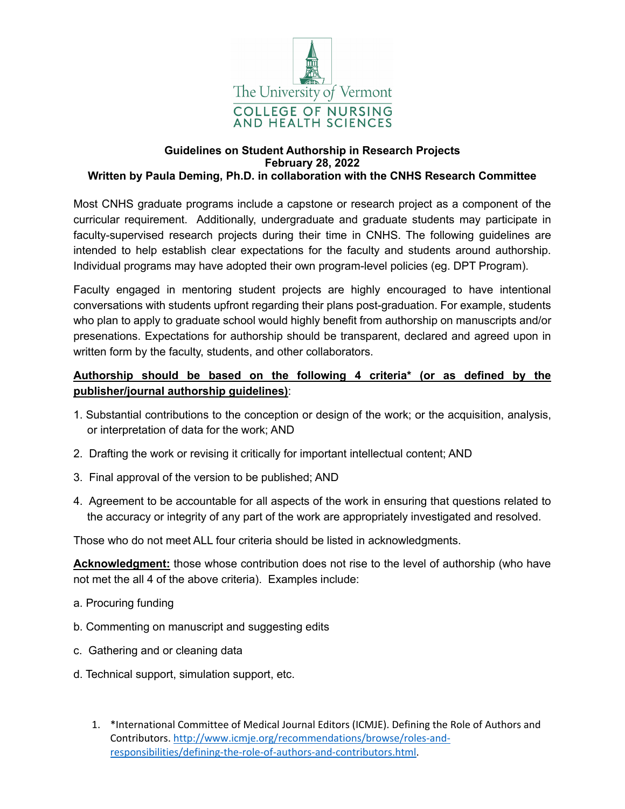

# **Guidelines on Student Authorship in Research Projects February 28, 2022**

### **Written by Paula Deming, Ph.D. in collaboration with the CNHS Research Committee**

Most CNHS graduate programs include a capstone or research project as a component of the curricular requirement. Additionally, undergraduate and graduate students may participate in faculty-supervised research projects during their time in CNHS. The following guidelines are intended to help establish clear expectations for the faculty and students around authorship. Individual programs may have adopted their own program-level policies (eg. DPT Program).

Faculty engaged in mentoring student projects are highly encouraged to have intentional conversations with students upfront regarding their plans post-graduation. For example, students who plan to apply to graduate school would highly benefit from authorship on manuscripts and/or presenations. Expectations for authorship should be transparent, declared and agreed upon in written form by the faculty, students, and other collaborators.

## **Authorship should be based on the following 4 criteria\* (or as defined by the publisher/journal authorship guidelines)**:

- 1. Substantial contributions to the conception or design of the work; or the acquisition, analysis, or interpretation of data for the work; AND
- 2. Drafting the work or revising it critically for important intellectual content; AND
- 3. Final approval of the version to be published; AND
- 4. Agreement to be accountable for all aspects of the work in ensuring that questions related to the accuracy or integrity of any part of the work are appropriately investigated and resolved.

Those who do not meet ALL four criteria should be listed in acknowledgments.

**Acknowledgment:** those whose contribution does not rise to the level of authorship (who have not met the all 4 of the above criteria). Examples include:

- a. Procuring funding
- b. Commenting on manuscript and suggesting edits
- c. Gathering and or cleaning data
- d. Technical support, simulation support, etc.
	- 1. \*International Committee of Medical Journal Editors (ICMJE). Defining the Role of Authors and Contributors. http://www.icmje.org/recommendations/browse/roles-andresponsibilities/defining-the-role-of-authors-and-contributors.html.